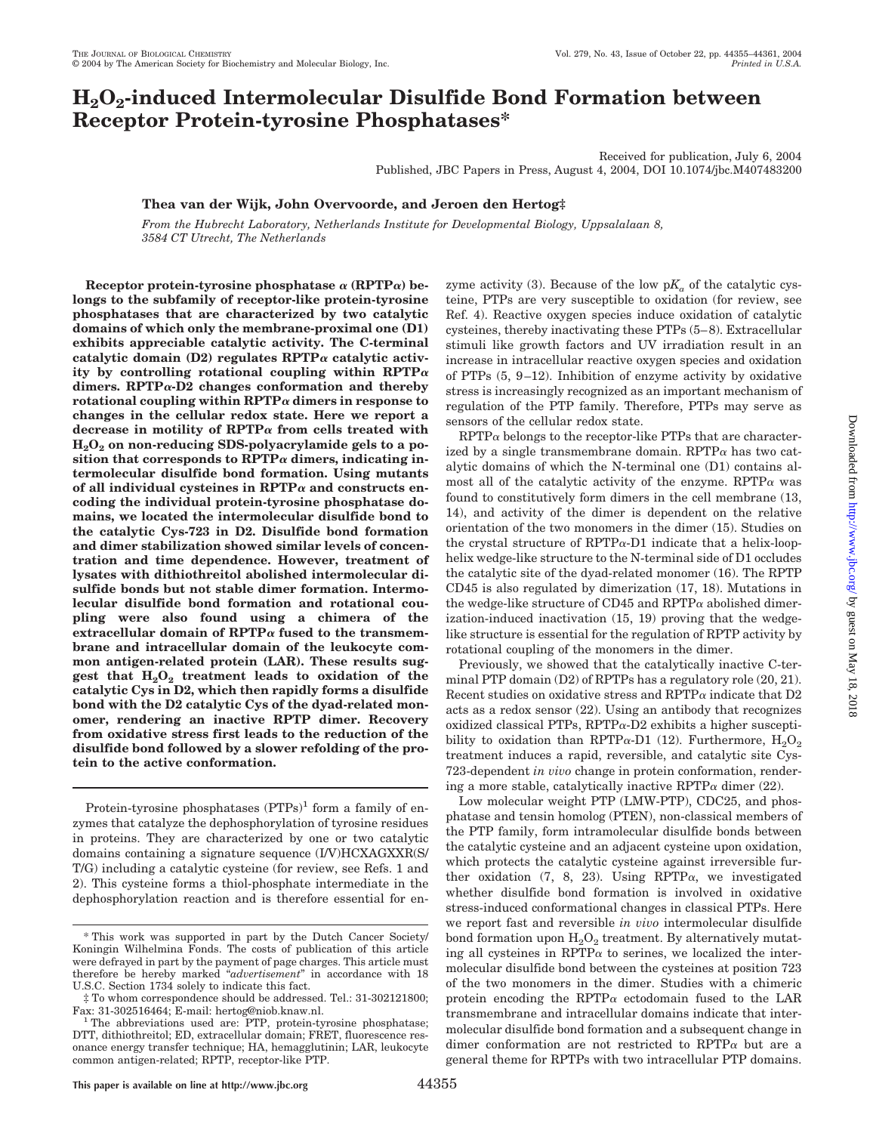# **H2O2-induced Intermolecular Disulfide Bond Formation between Receptor Protein-tyrosine Phosphatases\***

Received for publication, July 6, 2004 Published, JBC Papers in Press, August 4, 2004, DOI 10.1074/jbc.M407483200

## **Thea van der Wijk, John Overvoorde, and Jeroen den Hertog‡**

*From the Hubrecht Laboratory, Netherlands Institute for Developmental Biology, Uppsalalaan 8, 3584 CT Utrecht, The Netherlands*

Receptor protein-tyrosine phosphatase  $\alpha$  (RPTP $\alpha$ ) be**longs to the subfamily of receptor-like protein-tyrosine phosphatases that are characterized by two catalytic domains of which only the membrane-proximal one (D1) exhibits appreciable catalytic activity. The C-terminal** catalytic domain  $(D2)$  regulates  $RPTP\alpha$  catalytic activity by controlling rotational coupling within  $RPTP\alpha$ dimers.  $RPTP\alpha$ -D2 changes conformation and thereby rotational coupling within  $\text{RPTP}\alpha$  dimers in response to **changes in the cellular redox state. Here we report a** decrease in motility of  $RPTP\alpha$  from cells treated with **H2O2 on non-reducing SDS-polyacrylamide gels to a po**sition that corresponds to  $RPTP\alpha$  dimers, indicating in**termolecular disulfide bond formation. Using mutants** of all individual cysteines in  $\text{RPTP}\alpha$  and constructs en**coding the individual protein-tyrosine phosphatase domains, we located the intermolecular disulfide bond to the catalytic Cys-723 in D2. Disulfide bond formation and dimer stabilization showed similar levels of concentration and time dependence. However, treatment of lysates with dithiothreitol abolished intermolecular disulfide bonds but not stable dimer formation. Intermolecular disulfide bond formation and rotational coupling were also found using a chimera of the** extracellular domain of  $RPTP\alpha$  fused to the transmem**brane and intracellular domain of the leukocyte common antigen-related protein (LAR). These results sug**gest that  $H_2O_2$  treatment leads to oxidation of the **catalytic Cys in D2, which then rapidly forms a disulfide bond with the D2 catalytic Cys of the dyad-related monomer, rendering an inactive RPTP dimer. Recovery from oxidative stress first leads to the reduction of the disulfide bond followed by a slower refolding of the protein to the active conformation.**

Protein-tyrosine phosphatases  $(PTPs)^1$  form a family of enzymes that catalyze the dephosphorylation of tyrosine residues in proteins. They are characterized by one or two catalytic domains containing a signature sequence (I/V)HCXAGXXR(S/ T/G) including a catalytic cysteine (for review, see Refs. 1 and 2). This cysteine forms a thiol-phosphate intermediate in the dephosphorylation reaction and is therefore essential for enzyme activity (3). Because of the low  $pK_a$  of the catalytic cysteine, PTPs are very susceptible to oxidation (for review, see Ref. 4). Reactive oxygen species induce oxidation of catalytic cysteines, thereby inactivating these PTPs (5– 8). Extracellular stimuli like growth factors and UV irradiation result in an increase in intracellular reactive oxygen species and oxidation of PTPs  $(5, 9-12)$ . Inhibition of enzyme activity by oxidative stress is increasingly recognized as an important mechanism of regulation of the PTP family. Therefore, PTPs may serve as sensors of the cellular redox state.

 $RPTP\alpha$  belongs to the receptor-like PTPs that are characterized by a single transmembrane domain. RPTP $\alpha$  has two catalytic domains of which the N-terminal one (D1) contains almost all of the catalytic activity of the enzyme.  $RPTP\alpha$  was found to constitutively form dimers in the cell membrane (13, 14), and activity of the dimer is dependent on the relative orientation of the two monomers in the dimer (15). Studies on the crystal structure of  $RPTP\alpha-D1$  indicate that a helix-loophelix wedge-like structure to the N-terminal side of D1 occludes the catalytic site of the dyad-related monomer (16). The RPTP CD45 is also regulated by dimerization (17, 18). Mutations in the wedge-like structure of CD45 and  $RPTP\alpha$  abolished dimerization-induced inactivation (15, 19) proving that the wedgelike structure is essential for the regulation of RPTP activity by rotational coupling of the monomers in the dimer.

Previously, we showed that the catalytically inactive C-terminal PTP domain (D2) of RPTPs has a regulatory role (20, 21). Recent studies on oxidative stress and  $\text{RPTP}\alpha$  indicate that D2 acts as a redox sensor (22). Using an antibody that recognizes oxidized classical PTPs,  $RPTP\alpha-D2$  exhibits a higher susceptibility to oxidation than RPTP $\alpha$ -D1 (12). Furthermore,  $H_2O_2$ treatment induces a rapid, reversible, and catalytic site Cys-723-dependent *in vivo* change in protein conformation, rendering a more stable, catalytically inactive RPTP $\alpha$  dimer (22).

Low molecular weight PTP (LMW-PTP), CDC25, and phosphatase and tensin homolog (PTEN), non-classical members of the PTP family, form intramolecular disulfide bonds between the catalytic cysteine and an adjacent cysteine upon oxidation, which protects the catalytic cysteine against irreversible further oxidation  $(7, 8, 23)$ . Using RPTP $\alpha$ , we investigated whether disulfide bond formation is involved in oxidative stress-induced conformational changes in classical PTPs. Here we report fast and reversible *in vivo* intermolecular disulfide bond formation upon  $H_2O_2$  treatment. By alternatively mutating all cysteines in RPTP $\alpha$  to serines, we localized the intermolecular disulfide bond between the cysteines at position 723 of the two monomers in the dimer. Studies with a chimeric protein encoding the RPTP $\alpha$  ectodomain fused to the LAR transmembrane and intracellular domains indicate that intermolecular disulfide bond formation and a subsequent change in dimer conformation are not restricted to  $RPTP\alpha$  but are a general theme for RPTPs with two intracellular PTP domains.

<sup>\*</sup> This work was supported in part by the Dutch Cancer Society/ Koningin Wilhelmina Fonds. The costs of publication of this article were defrayed in part by the payment of page charges. This article must therefore be hereby marked "*advertisement*" in accordance with 18 U.S.C. Section 1734 solely to indicate this fact.

<sup>‡</sup> To whom correspondence should be addressed. Tel.: 31-302121800;

Fax: 31-302516464; E-mail: hertog@niob.knaw.nl.<br><sup>1</sup> The abbreviations used are: PTP, protein-tyrosine phosphatase; DTT, dithiothreitol; ED, extracellular domain; FRET, fluorescence resonance energy transfer technique; HA, hemagglutinin; LAR, leukocyte common antigen-related; RPTP, receptor-like PTP.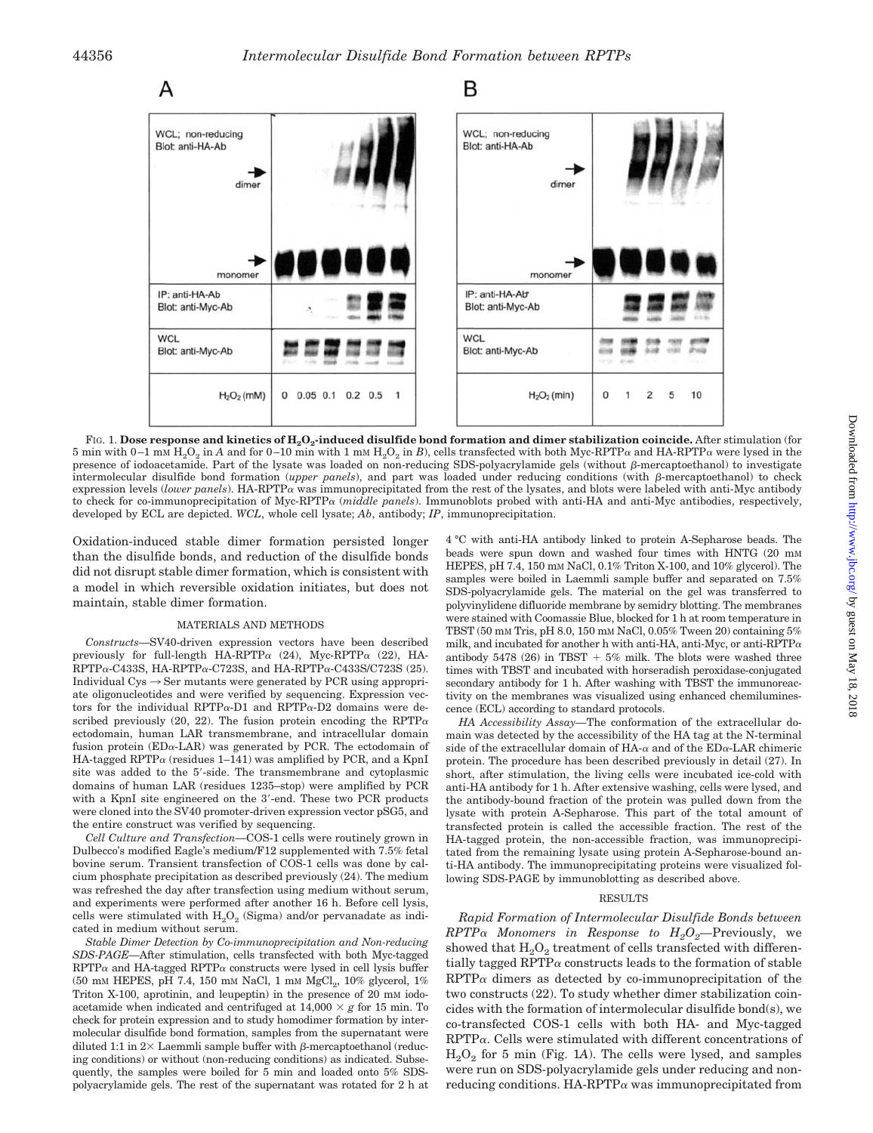

FIG. 1. Dose response and kinetics of H<sub>2</sub>O<sub>2</sub>-induced disulfide bond formation and dimer stabilization coincide. After stimulation (for 5 min with 0-1 mm  $H_2O_2$  in A and for 0-10 min with 1 mm  $H_2O_2$  in B), cells transfected with both Myc-RPTP $\alpha$  and HA-RPTP $\alpha$  were lysed in the presence of iodoacetamide. Part of the lysate was loaded on non-reducing SDS-polyacrylamide gels (without  $\beta$ -mercaptoethanol) to investigate intermolecular disulfide bond formation (*upper panels*), and part was loaded under reducing conditions (with β-mercaptoethanol) to check expression levels (lower panels). HA-RPTPa was immunoprecipitated from the rest of the lysates, and blots were labeled with anti-Myc antibody to check for co-immunoprecipitation of Myc-RPTP (*middle panels*). Immunoblots probed with anti-HA and anti-Myc antibodies, respectively, developed by ECL are depicted. *WCL*, whole cell lysate; *Ab*, antibody; *IP*, immunoprecipitation.

Oxidation-induced stable dimer formation persisted longer than the disulfide bonds, and reduction of the disulfide bonds did not disrupt stable dimer formation, which is consistent with a model in which reversible oxidation initiates, but does not maintain, stable dimer formation.

### MATERIALS AND METHODS

*Constructs—*SV40-driven expression vectors have been described previously for full-length  $HA-RPTP\alpha$  (24), Myc-RPTP $\alpha$  (22), HA- $RPTP\alpha$ -C433S, HA-RPTP $\alpha$ -C723S, and HA-RPTP $\alpha$ -C433S/C723S (25). Individual  $Cys \rightarrow Ser$  mutants were generated by PCR using appropriate oligonucleotides and were verified by sequencing. Expression vectors for the individual RPTP $\alpha$ -D1 and RPTP $\alpha$ -D2 domains were described previously (20, 22). The fusion protein encoding the RPTP $\alpha$ ectodomain, human LAR transmembrane, and intracellular domain fusion protein  $(ED\alpha-LAR)$  was generated by PCR. The ectodomain of HA-tagged RPTP $\alpha$  (residues 1–141) was amplified by PCR, and a KpnI site was added to the 5'-side. The transmembrane and cytoplasmic domains of human LAR (residues 1235–stop) were amplified by PCR with a KpnI site engineered on the 3'-end. These two PCR products were cloned into the SV40 promoter-driven expression vector pSG5, and the entire construct was verified by sequencing.

*Cell Culture and Transfection—*COS-1 cells were routinely grown in Dulbecco's modified Eagle's medium/F12 supplemented with 7.5% fetal bovine serum. Transient transfection of COS-1 cells was done by calcium phosphate precipitation as described previously (24). The medium was refreshed the day after transfection using medium without serum, and experiments were performed after another 16 h. Before cell lysis, cells were stimulated with  $H_2O_2$  (Sigma) and/or pervanadate as indicated in medium without serum.

*Stable Dimer Detection by Co-immunoprecipitation and Non-reducing SDS-PAGE—*After stimulation, cells transfected with both Myc-tagged  $RPTP\alpha$  and HA-tagged  $RPTP\alpha$  constructs were lysed in cell lysis buffer (50 mM HEPES, pH 7.4, 150 mM NaCl, 1 mM  $MgCl<sub>2</sub>$ , 10% glycerol, 1% Triton X-100, aprotinin, and leupeptin) in the presence of 20 mM iodoacetamide when indicated and centrifuged at  $14,000 \times g$  for 15 min. To check for protein expression and to study homodimer formation by intermolecular disulfide bond formation, samples from the supernatant were diluted 1:1 in  $2\times$  Laemmli sample buffer with  $\beta$ -mercaptoethanol (reducing conditions) or without (non-reducing conditions) as indicated. Subsequently, the samples were boiled for 5 min and loaded onto 5% SDSpolyacrylamide gels. The rest of the supernatant was rotated for 2 h at 4 °C with anti-HA antibody linked to protein A-Sepharose beads. The beads were spun down and washed four times with HNTG (20 mM HEPES, pH 7.4, 150 mM NaCl, 0.1% Triton X-100, and 10% glycerol). The samples were boiled in Laemmli sample buffer and separated on 7.5% SDS-polyacrylamide gels. The material on the gel was transferred to polyvinylidene difluoride membrane by semidry blotting. The membranes were stained with Coomassie Blue, blocked for 1 h at room temperature in TBST (50 mM Tris, pH 8.0, 150 mM NaCl, 0.05% Tween 20) containing 5% milk, and incubated for another h with anti-HA, anti-Myc, or anti-RPTP $\alpha$ antibody 5478 (26) in TBST  $+5\%$  milk. The blots were washed three times with TBST and incubated with horseradish peroxidase-conjugated secondary antibody for 1 h. After washing with TBST the immunoreactivity on the membranes was visualized using enhanced chemiluminescence (ECL) according to standard protocols.

*HA Accessibility Assay—*The conformation of the extracellular domain was detected by the accessibility of the HA tag at the N-terminal side of the extracellular domain of HA- $\alpha$  and of the ED $\alpha$ -LAR chimeric protein. The procedure has been described previously in detail (27). In short, after stimulation, the living cells were incubated ice-cold with anti-HA antibody for 1 h. After extensive washing, cells were lysed, and the antibody-bound fraction of the protein was pulled down from the lysate with protein A-Sepharose. This part of the total amount of transfected protein is called the accessible fraction. The rest of the HA-tagged protein, the non-accessible fraction, was immunoprecipitated from the remaining lysate using protein A-Sepharose-bound anti-HA antibody. The immunoprecipitating proteins were visualized following SDS-PAGE by immunoblotting as described above.

### RESULTS

*Rapid Formation of Intermolecular Disulfide Bonds between*  $RPTP\alpha$  *Monomers in Response to*  $H_2O_2$ —Previously, we showed that  $H_2O_2$  treatment of cells transfected with differentially tagged  $RPTP\alpha$  constructs leads to the formation of stable  $RPTP\alpha$  dimers as detected by co-immunoprecipitation of the two constructs (22). To study whether dimer stabilization coincides with the formation of intermolecular disulfide bond(s), we co-transfected COS-1 cells with both HA- and Myc-tagged  $RPTP\alpha$ . Cells were stimulated with different concentrations of H2O2 for 5 min (Fig. 1*A*). The cells were lysed, and samples were run on SDS-polyacrylamide gels under reducing and nonreducing conditions. HA-RPTP $\alpha$  was immunoprecipitated from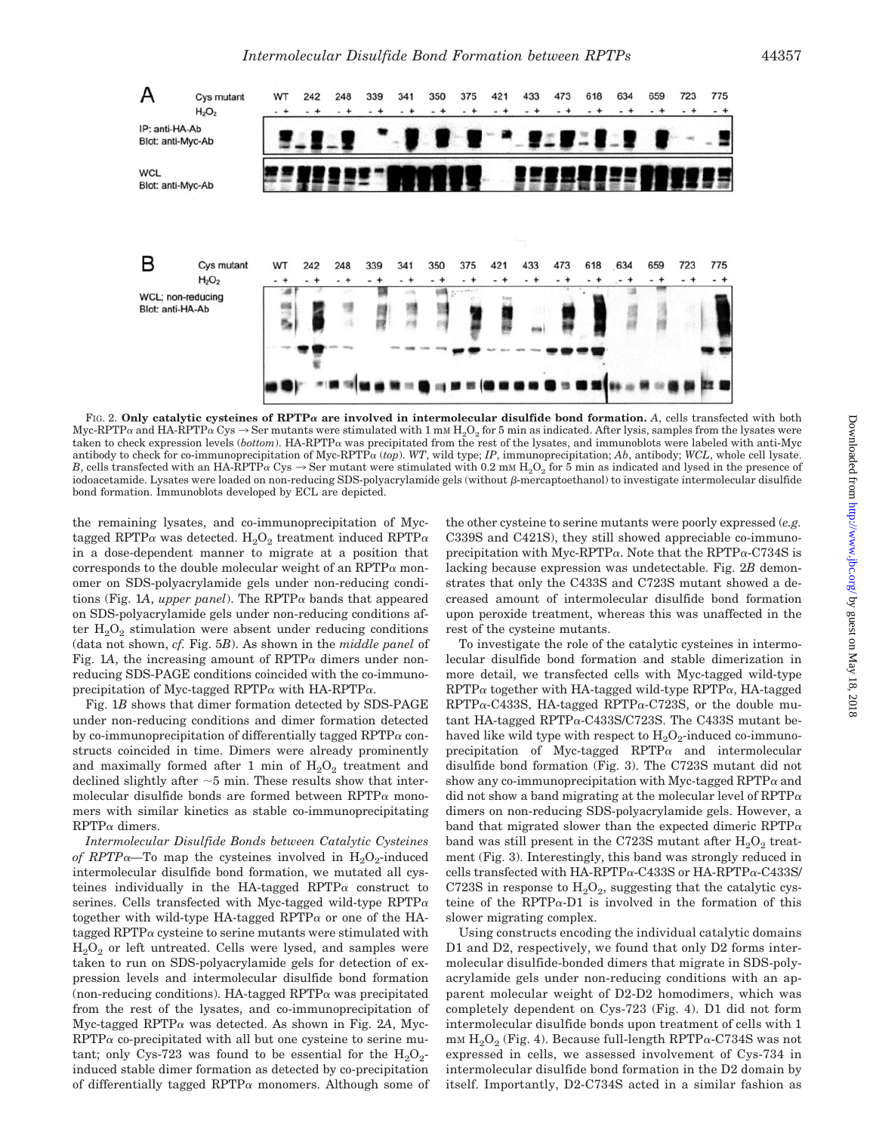

FIG. 2. Only catalytic cysteines of  $\mathbb{R}$ PTP $\alpha$  are involved in intermolecular disulfide bond formation. A, cells transfected with both Myc-RPTP $\alpha$  and HA-RPTP $\alpha$  Cys  $\rightarrow$  Ser mutants were stimulated with 1 mm H<sub>2</sub>O<sub>2</sub> for 5 min as indicated. After lysis, samples from the lysates were taken to check expression levels (*bottom*). HA-RPTP $\alpha$  was precipitated from the rest of the lysates, and immunoblots were labeled with anti-Myc antibody to check for co-immunoprecipitation of Myc-RPTP $\alpha$  (*top*). WT, wild type; *IP*, immunoprecipitation; *Ab*, antibody; WCL, whole cell lysate. *B*, cells transfected with an HA-RPTP $\alpha$  Cys  $\rightarrow$  Ser mutant were stimulated with 0.2 mm H<sub>2</sub>O<sub>2</sub> for 5 min as indicated and lysed in the presence of iodoacetamide. Lysates were loaded on non-reducing SDS-polyacrylamide gels (without  $\beta$ -mercaptoethanol) to investigate intermolecular disulfide bond formation. Immunoblots developed by ECL are depicted.

the remaining lysates, and co-immunoprecipitation of Myctagged RPTP $\alpha$  was detected.  $H_2O_2$  treatment induced RPTP $\alpha$ in a dose-dependent manner to migrate at a position that corresponds to the double molecular weight of an RPTP $\alpha$  monomer on SDS-polyacrylamide gels under non-reducing conditions (Fig. 1A, *upper panel*). The RPTP $\alpha$  bands that appeared on SDS-polyacrylamide gels under non-reducing conditions after  $H_2O_2$  stimulation were absent under reducing conditions (data not shown, *cf.* Fig. 5*B*). As shown in the *middle panel* of Fig. 1A, the increasing amount of  $RPTP\alpha$  dimers under nonreducing SDS-PAGE conditions coincided with the co-immunoprecipitation of Myc-tagged RPTP $\alpha$  with HA-RPTP $\alpha$ .

Fig. 1*B* shows that dimer formation detected by SDS-PAGE under non-reducing conditions and dimer formation detected by co-immunoprecipitation of differentially tagged RPTP $\alpha$  constructs coincided in time. Dimers were already prominently and maximally formed after 1 min of  $H_2O_2$  treatment and declined slightly after  $\sim$  5 min. These results show that intermolecular disulfide bonds are formed between  $RPTP\alpha$  monomers with similar kinetics as stable co-immunoprecipitating  $RPTP\alpha$  dimers.

*Intermolecular Disulfide Bonds between Catalytic Cysteines of RPTP* $\alpha$ —To map the cysteines involved in  $H_2O_2$ -induced intermolecular disulfide bond formation, we mutated all cysteines individually in the HA-tagged RPTP $\alpha$  construct to serines. Cells transfected with Myc-tagged wild-type  $RPTP\alpha$ together with wild-type HA-tagged RPTP $\alpha$  or one of the HAtagged RPTP $\alpha$  cysteine to serine mutants were stimulated with  $H<sub>2</sub>O<sub>2</sub>$  or left untreated. Cells were lysed, and samples were taken to run on SDS-polyacrylamide gels for detection of expression levels and intermolecular disulfide bond formation (non-reducing conditions). HA-tagged  $RPTP\alpha$  was precipitated from the rest of the lysates, and co-immunoprecipitation of  $Myc$ -tagged RPTP $\alpha$  was detected. As shown in Fig. 2A, Myc- $RPTP\alpha$  co-precipitated with all but one cysteine to serine mutant; only Cys-723 was found to be essential for the  $H_2O_2$ induced stable dimer formation as detected by co-precipitation of differentially tagged RPTP $\alpha$  monomers. Although some of the other cysteine to serine mutants were poorly expressed (*e.g.* C339S and C421S), they still showed appreciable co-immunoprecipitation with Myc-RPTP $\alpha$ . Note that the RPTP $\alpha$ -C734S is lacking because expression was undetectable. Fig. 2*B* demonstrates that only the C433S and C723S mutant showed a decreased amount of intermolecular disulfide bond formation upon peroxide treatment, whereas this was unaffected in the rest of the cysteine mutants.

To investigate the role of the catalytic cysteines in intermolecular disulfide bond formation and stable dimerization in more detail, we transfected cells with Myc-tagged wild-type  $RPTP\alpha$  together with HA-tagged wild-type  $RPTP\alpha$ , HA-tagged  $RPTP\alpha$ -C433S, HA-tagged  $RPTP\alpha$ -C723S, or the double mutant HA-tagged RPTP $\alpha$ -C433S/C723S. The C433S mutant behaved like wild type with respect to  $H_2O_2$ -induced co-immunoprecipitation of Myc-tagged  $RPTP\alpha$  and intermolecular disulfide bond formation (Fig. 3). The C723S mutant did not show any co-immunoprecipitation with Myc-tagged  $RPTP\alpha$  and did not show a band migrating at the molecular level of  $RPTP\alpha$ dimers on non-reducing SDS-polyacrylamide gels. However, a band that migrated slower than the expected dimeric RPTP $\alpha$ band was still present in the C723S mutant after  $H_2O_2$  treatment (Fig. 3). Interestingly, this band was strongly reduced in cells transfected with HA-RPTP $\alpha$ -C433S or HA-RPTP $\alpha$ -C433S/ C723S in response to  $H_2O_2$ , suggesting that the catalytic cysteine of the RPTP $\alpha$ -D1 is involved in the formation of this slower migrating complex.

Using constructs encoding the individual catalytic domains D1 and D2, respectively, we found that only D2 forms intermolecular disulfide-bonded dimers that migrate in SDS-polyacrylamide gels under non-reducing conditions with an apparent molecular weight of D2-D2 homodimers, which was completely dependent on Cys-723 (Fig. 4). D1 did not form intermolecular disulfide bonds upon treatment of cells with 1  $\text{mm H}_{2}\text{O}_{2}$  (Fig. 4). Because full-length RPTP $\alpha$ -C734S was not expressed in cells, we assessed involvement of Cys-734 in intermolecular disulfide bond formation in the D2 domain by itself. Importantly, D2-C734S acted in a similar fashion as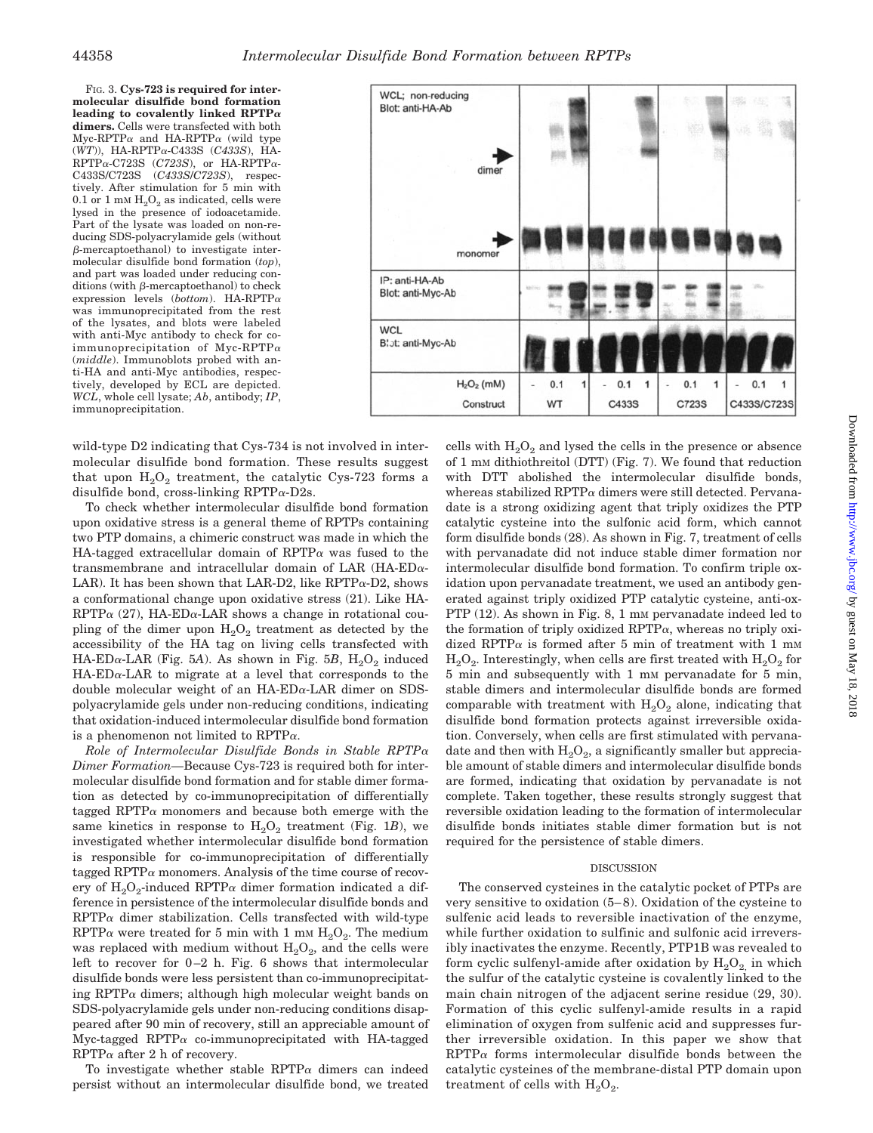FIG. 3. **Cys-723 is required for intermolecular disulfide bond formation leading to covalently linked RPTP dimers.** Cells were transfected with both  $Myc-RPTP\alpha$  and HA-RPTP $\alpha$  (wild type  $(WT)$ ), HA-RPTP $\alpha$ -C433S (C433S), HA- $RPTP\alpha$ -C723S (C723S), or HA-RPTP $\alpha$ -C433S/C723S (*C433S*/*C723S*), respectively. After stimulation for 5 min with 0.1 or 1 mm  $H<sub>2</sub>O<sub>2</sub>$  as indicated, cells were lysed in the presence of iodoacetamide. Part of the lysate was loaded on non-reducing SDS-polyacrylamide gels (without  $\beta$ -mercaptoethanol) to investigate intermolecular disulfide bond formation (*top*), and part was loaded under reducing con $ditions$  (with  $\beta$ -mercaptoethanol) to check expression levels (*bottom*). HA-RPTP was immunoprecipitated from the rest of the lysates, and blots were labeled with anti-Myc antibody to check for coimmunoprecipitation of Myc-RPTP $\alpha$ (*middle*). Immunoblots probed with anti-HA and anti-Myc antibodies, respectively, developed by ECL are depicted. *WCL*, whole cell lysate; *Ab*, antibody; *IP*, immunoprecipitation.



wild-type D2 indicating that Cys-734 is not involved in intermolecular disulfide bond formation. These results suggest that upon  $H_2O_2$  treatment, the catalytic Cys-723 forms a disulfide bond, cross-linking RPTP $\alpha$ -D2s.

To check whether intermolecular disulfide bond formation upon oxidative stress is a general theme of RPTPs containing two PTP domains, a chimeric construct was made in which the HA-tagged extracellular domain of  $RPTP\alpha$  was fused to the transmembrane and intracellular domain of LAR (HA-ED $\alpha$ -LAR). It has been shown that LAR-D2, like  $RPTP\alpha$ -D2, shows a conformational change upon oxidative stress (21). Like HA- $RPTP\alpha$  (27), HA-ED $\alpha$ -LAR shows a change in rotational coupling of the dimer upon  $H_2O_2$  treatment as detected by the accessibility of the HA tag on living cells transfected with  $HA-ED\alpha-LAR$  (Fig. 5A). As shown in Fig. 5B,  $H_2O_2$  induced  $HA-ED\alpha-LAR$  to migrate at a level that corresponds to the double molecular weight of an  $HA-ED\alpha$ -LAR dimer on SDSpolyacrylamide gels under non-reducing conditions, indicating that oxidation-induced intermolecular disulfide bond formation is a phenomenon not limited to  $RPTP\alpha$ .

*Role of Intermolecular Disulfide Bonds in Stable RPTP Dimer Formation—*Because Cys-723 is required both for intermolecular disulfide bond formation and for stable dimer formation as detected by co-immunoprecipitation of differentially tagged RPTP $\alpha$  monomers and because both emerge with the same kinetics in response to  $H_2O_2$  treatment (Fig. 1*B*), we investigated whether intermolecular disulfide bond formation is responsible for co-immunoprecipitation of differentially tagged RPTP $\alpha$  monomers. Analysis of the time course of recovery of  $H_2O_2$ -induced RPTP $\alpha$  dimer formation indicated a difference in persistence of the intermolecular disulfide bonds and  $RPTP\alpha$  dimer stabilization. Cells transfected with wild-type RPTP $\alpha$  were treated for 5 min with 1 mm  $H_2O_2$ . The medium was replaced with medium without  $H_2O_2$ , and the cells were left to recover for  $0-2$  h. Fig. 6 shows that intermolecular disulfide bonds were less persistent than co-immunoprecipitating RPTP $\alpha$  dimers; although high molecular weight bands on SDS-polyacrylamide gels under non-reducing conditions disappeared after 90 min of recovery, still an appreciable amount of  $Myc$ -tagged RPTP $\alpha$  co-immunoprecipitated with HA-tagged  $RPTP\alpha$  after 2 h of recovery.

To investigate whether stable RPTP $\alpha$  dimers can indeed persist without an intermolecular disulfide bond, we treated

cells with  $H_2O_2$  and lysed the cells in the presence or absence of 1 mM dithiothreitol (DTT) (Fig. 7). We found that reduction with DTT abolished the intermolecular disulfide bonds, whereas stabilized  $RPTP\alpha$  dimers were still detected. Pervanadate is a strong oxidizing agent that triply oxidizes the PTP catalytic cysteine into the sulfonic acid form, which cannot form disulfide bonds (28). As shown in Fig. 7, treatment of cells with pervanadate did not induce stable dimer formation nor intermolecular disulfide bond formation. To confirm triple oxidation upon pervanadate treatment, we used an antibody generated against triply oxidized PTP catalytic cysteine, anti-ox-PTP (12). As shown in Fig. 8, 1 mm pervanadate indeed led to the formation of triply oxidized  $RPTP\alpha$ , whereas no triply oxidized RPTP $\alpha$  is formed after 5 min of treatment with 1 mm  $H<sub>2</sub>O<sub>2</sub>$ . Interestingly, when cells are first treated with  $H<sub>2</sub>O<sub>2</sub>$  for 5 min and subsequently with 1 mM pervanadate for 5 min, stable dimers and intermolecular disulfide bonds are formed comparable with treatment with  $H_2O_2$  alone, indicating that disulfide bond formation protects against irreversible oxidation. Conversely, when cells are first stimulated with pervanadate and then with  $H_2O_2$ , a significantly smaller but appreciable amount of stable dimers and intermolecular disulfide bonds are formed, indicating that oxidation by pervanadate is not complete. Taken together, these results strongly suggest that reversible oxidation leading to the formation of intermolecular disulfide bonds initiates stable dimer formation but is not required for the persistence of stable dimers.

#### DISCUSSION

The conserved cysteines in the catalytic pocket of PTPs are very sensitive to oxidation (5– 8). Oxidation of the cysteine to sulfenic acid leads to reversible inactivation of the enzyme, while further oxidation to sulfinic and sulfonic acid irreversibly inactivates the enzyme. Recently, PTP1B was revealed to form cyclic sulfenyl-amide after oxidation by  $H_2O_2$  in which the sulfur of the catalytic cysteine is covalently linked to the main chain nitrogen of the adjacent serine residue (29, 30). Formation of this cyclic sulfenyl-amide results in a rapid elimination of oxygen from sulfenic acid and suppresses further irreversible oxidation. In this paper we show that  $RPTP\alpha$  forms intermolecular disulfide bonds between the catalytic cysteines of the membrane-distal PTP domain upon treatment of cells with  $H_2O_2$ .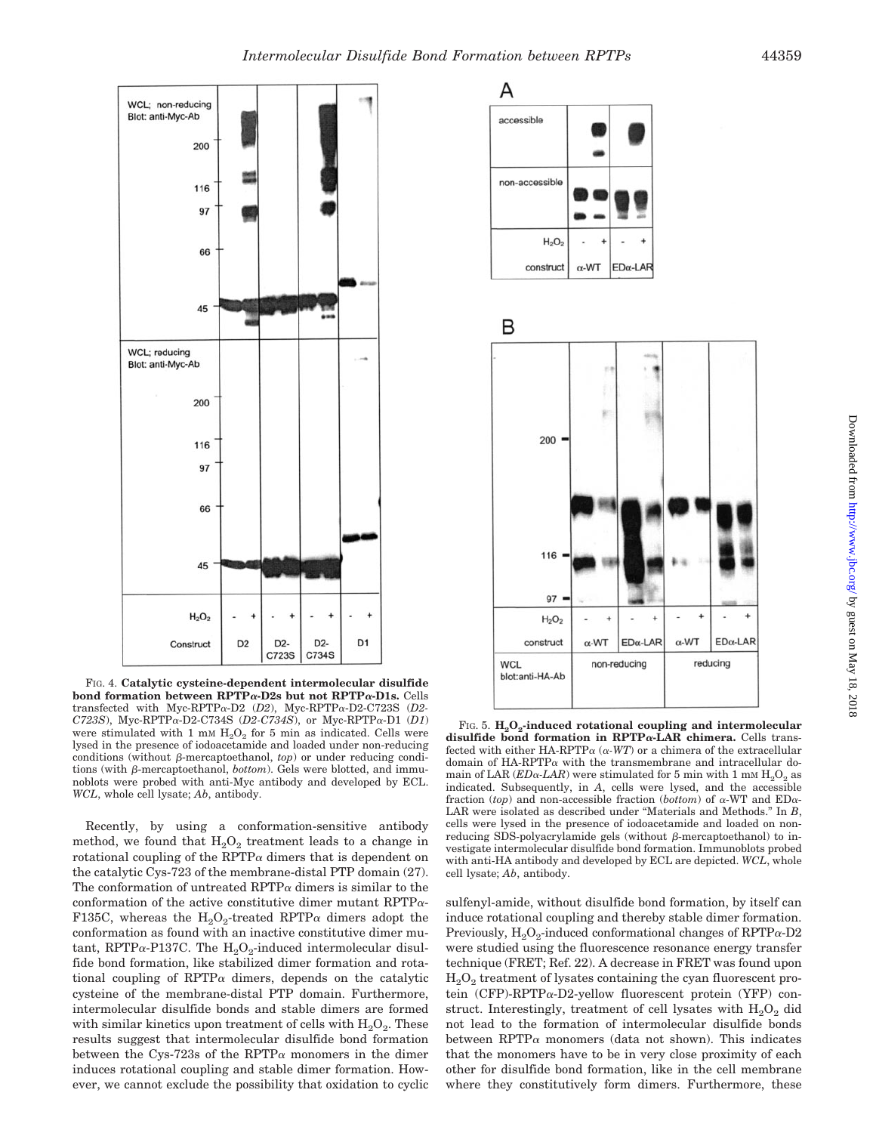

FIG. 4. **Catalytic cysteine-dependent intermolecular disulfide bond formation between RPTP-D2s but not RPTP-D1s.** Cells transfected with Myc-RPTP $\alpha$ -D2 (*D2*), Myc-RPTP $\alpha$ -D2-C723S (*D2*- $C723S$ ), Myc-RPTP $\alpha$ -D2-C734S (*D2-C734S*), or Myc-RPTP $\alpha$ -D1 (*D1*) were stimulated with 1 mm  $H_2O_2$  for 5 min as indicated. Cells were lysed in the presence of iodoacetamide and loaded under non-reducing conditions (without  $\beta$ -mercaptoethanol, *top*) or under reducing conditions (with  $\beta$ -mercaptoethanol, *bottom*). Gels were blotted, and immunoblots were probed with anti-Myc antibody and developed by ECL. *WCL*, whole cell lysate; *Ab*, antibody.

Recently, by using a conformation-sensitive antibody method, we found that  $H_2O_2$  treatment leads to a change in rotational coupling of the RPTP $\alpha$  dimers that is dependent on the catalytic Cys-723 of the membrane-distal PTP domain (27). The conformation of untreated RPTP $\alpha$  dimers is similar to the conformation of the active constitutive dimer mutant RPTP $\alpha$ -F135C, whereas the  $H_2O_2$ -treated RPTP $\alpha$  dimers adopt the conformation as found with an inactive constitutive dimer mutant, RPTP $\alpha$ -P137C. The H<sub>2</sub>O<sub>2</sub>-induced intermolecular disulfide bond formation, like stabilized dimer formation and rotational coupling of RPTP $\alpha$  dimers, depends on the catalytic cysteine of the membrane-distal PTP domain. Furthermore, intermolecular disulfide bonds and stable dimers are formed with similar kinetics upon treatment of cells with  $H_2O_2$ . These results suggest that intermolecular disulfide bond formation between the Cys-723s of the RPTP $\alpha$  monomers in the dimer induces rotational coupling and stable dimer formation. However, we cannot exclude the possibility that oxidation to cyclic





FIG. 5. H<sub>2</sub>O<sub>2</sub>-induced rotational coupling and intermolecular disulfide bond formation in RPTP<sub>a</sub>-LAR chimera. Cells transfected with either HA-RPTP $\alpha$  ( $\alpha$ -WT) or a chimera of the extracellular domain of HA-RPTP $\alpha$  with the transmembrane and intracellular domain of LAR  $(ED\alpha$ -*LAR*) were stimulated for 5 min with 1 mM  $H_2O_2$  as indicated. Subsequently, in *A*, cells were lysed, and the accessible fraction (*top*) and non-accessible fraction (*bottom*) of  $\alpha$ -WT and ED $\alpha$ -LAR were isolated as described under "Materials and Methods." In *B*, cells were lysed in the presence of iodoacetamide and loaded on nonreducing SDS-polyacrylamide gels (without  $\beta$ -mercaptoethanol) to investigate intermolecular disulfide bond formation. Immunoblots probed with anti-HA antibody and developed by ECL are depicted. *WCL*, whole cell lysate; *Ab*, antibody.

sulfenyl-amide, without disulfide bond formation, by itself can induce rotational coupling and thereby stable dimer formation. Previously,  $H_2O_2$ -induced conformational changes of RPTP $\alpha$ -D2 were studied using the fluorescence resonance energy transfer technique (FRET; Ref. 22). A decrease in FRET was found upon  $H<sub>2</sub>O<sub>2</sub>$  treatment of lysates containing the cyan fluorescent protein (CFP)-RPTP $\alpha$ -D2-yellow fluorescent protein (YFP) construct. Interestingly, treatment of cell lysates with  $H_2O_2$  did not lead to the formation of intermolecular disulfide bonds between RPTP $\alpha$  monomers (data not shown). This indicates that the monomers have to be in very close proximity of each other for disulfide bond formation, like in the cell membrane where they constitutively form dimers. Furthermore, these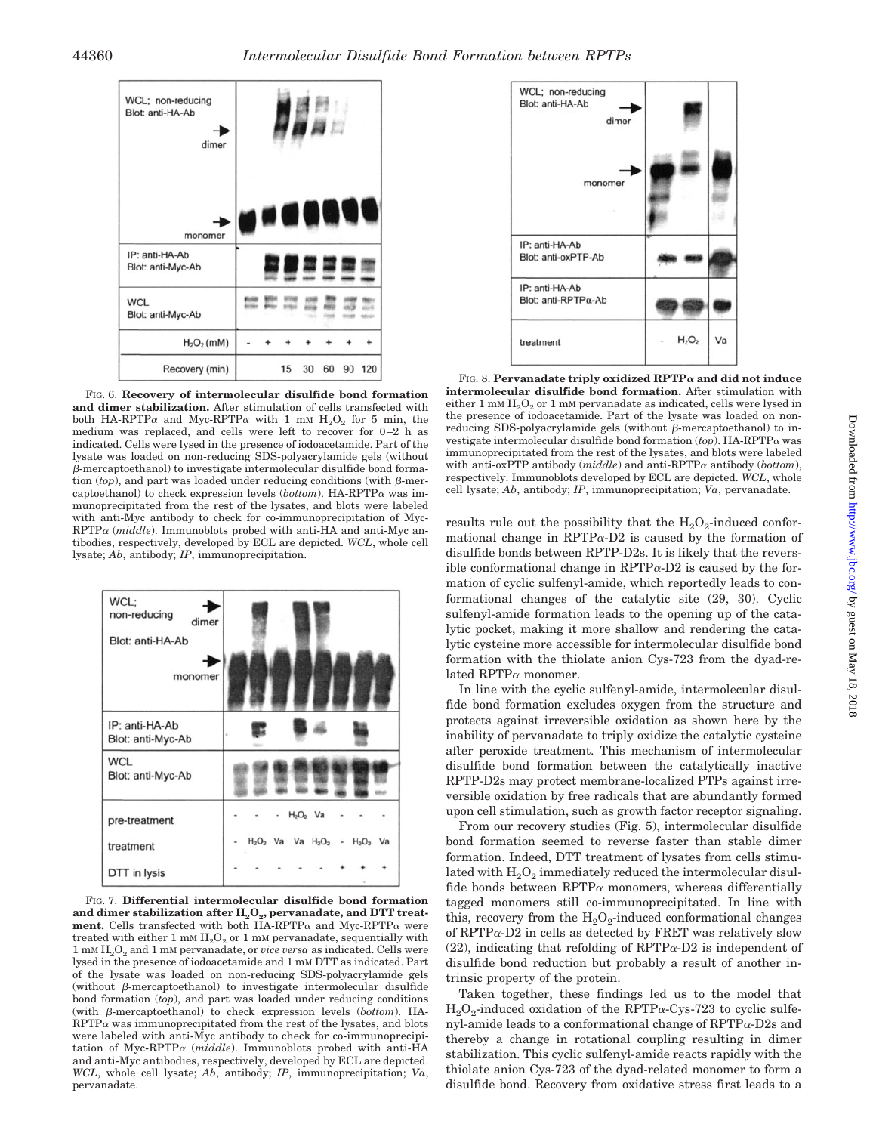

FIG. 6. **Recovery of intermolecular disulfide bond formation and dimer stabilization.** After stimulation of cells transfected with both HA-RPTP $\alpha$  and Myc-RPTP $\alpha$  with 1 mM H<sub>2</sub>O<sub>2</sub> for 5 min, the medium was replaced, and cells were left to recover for 0-2 h as indicated. Cells were lysed in the presence of iodoacetamide. Part of the lysate was loaded on non-reducing SDS-polyacrylamide gels (without  $\beta$ -mercaptoethanol) to investigate intermolecular disulfide bond formation  $(top)$ , and part was loaded under reducing conditions (with  $\beta$ -mercaptoethanol) to check expression levels ( $bottom$ ). HA-RPTP $\alpha$  was immunoprecipitated from the rest of the lysates, and blots were labeled with anti-Myc antibody to check for co-immunoprecipitation of Myc- $RPTP\alpha$  (*middle*). Immunoblots probed with anti-HA and anti-Myc antibodies, respectively, developed by ECL are depicted. *WCL*, whole cell lysate; *Ab*, antibody; *IP*, immunoprecipitation.



FIG. 7. **Differential intermolecular disulfide bond formation** and dimer stabilization after  $H_2O_2$ , pervanadate, and DTT treat**ment.** Cells transfected with both  $HA-RPTP\alpha$  and  $Myc-RPTP\alpha$  were treated with either 1 mm  $\rm H_2O_2$  or 1 mm pervanadate, sequentially with 1 mM H2O2 and 1 mM pervanadate, or *vice versa* as indicated. Cells were lysed in the presence of iodoacetamide and 1 mM DTT as indicated. Part of the lysate was loaded on non-reducing SDS-polyacrylamide gels (without  $\beta$ -mercaptoethanol) to investigate intermolecular disulfide bond formation (*top*), and part was loaded under reducing conditions (with  $\beta$ -mercaptoethanol) to check expression levels (*bottom*). HA- $RPTP\alpha$  was immunoprecipitated from the rest of the lysates, and blots were labeled with anti-Myc antibody to check for co-immunoprecipitation of Myc-RPTP $\alpha$  (*middle*). Immunoblots probed with anti-HA and anti-Myc antibodies, respectively, developed by ECL are depicted. *WCL*, whole cell lysate; *Ab*, antibody; *IP*, immunoprecipitation; *Va*, pervanadate.



FIG. 8. **Pervanadate triply oxidized RPTP and did not induce intermolecular disulfide bond formation.** After stimulation with either 1 mM  $H_2O_2$  or 1 mM pervanadate as indicated, cells were lysed in the presence of iodoacetamide. Part of the lysate was loaded on nonreducing SDS-polyacrylamide gels (without  $\beta$ -mercaptoethanol) to investigate intermolecular disulfide bond formation  $(top)$ . HA-RPTP $\alpha$  was immunoprecipitated from the rest of the lysates, and blots were labeled with anti-oxPTP antibody  $(middle)$  and anti-RPTP $\alpha$  antibody (*bottom*), respectively. Immunoblots developed by ECL are depicted. *WCL*, whole cell lysate; *Ab*, antibody; *IP*, immunoprecipitation; *Va*, pervanadate.

results rule out the possibility that the  $H_2O_2$ -induced conformational change in RPTP $\alpha$ -D2 is caused by the formation of disulfide bonds between RPTP-D2s. It is likely that the reversible conformational change in  $RPTP\alpha-D2$  is caused by the formation of cyclic sulfenyl-amide, which reportedly leads to conformational changes of the catalytic site (29, 30). Cyclic sulfenyl-amide formation leads to the opening up of the catalytic pocket, making it more shallow and rendering the catalytic cysteine more accessible for intermolecular disulfide bond formation with the thiolate anion Cys-723 from the dyad-related  $RPTP\alpha$  monomer.

In line with the cyclic sulfenyl-amide, intermolecular disulfide bond formation excludes oxygen from the structure and protects against irreversible oxidation as shown here by the inability of pervanadate to triply oxidize the catalytic cysteine after peroxide treatment. This mechanism of intermolecular disulfide bond formation between the catalytically inactive RPTP-D2s may protect membrane-localized PTPs against irreversible oxidation by free radicals that are abundantly formed upon cell stimulation, such as growth factor receptor signaling.

From our recovery studies (Fig. 5), intermolecular disulfide bond formation seemed to reverse faster than stable dimer formation. Indeed, DTT treatment of lysates from cells stimulated with  $H_2O_2$  immediately reduced the intermolecular disulfide bonds between  $RPTP\alpha$  monomers, whereas differentially tagged monomers still co-immunoprecipitated. In line with this, recovery from the  $H_2O_2$ -induced conformational changes of RPTP $\alpha$ -D2 in cells as detected by FRET was relatively slow (22), indicating that refolding of  $RPTP\alpha-D2$  is independent of disulfide bond reduction but probably a result of another intrinsic property of the protein.

Taken together, these findings led us to the model that  $H_2O_2$ -induced oxidation of the RPTP $\alpha$ -Cys-723 to cyclic sulfenyl-amide leads to a conformational change of  $RPTP\alpha-D2s$  and thereby a change in rotational coupling resulting in dimer stabilization. This cyclic sulfenyl-amide reacts rapidly with the thiolate anion Cys-723 of the dyad-related monomer to form a disulfide bond. Recovery from oxidative stress first leads to a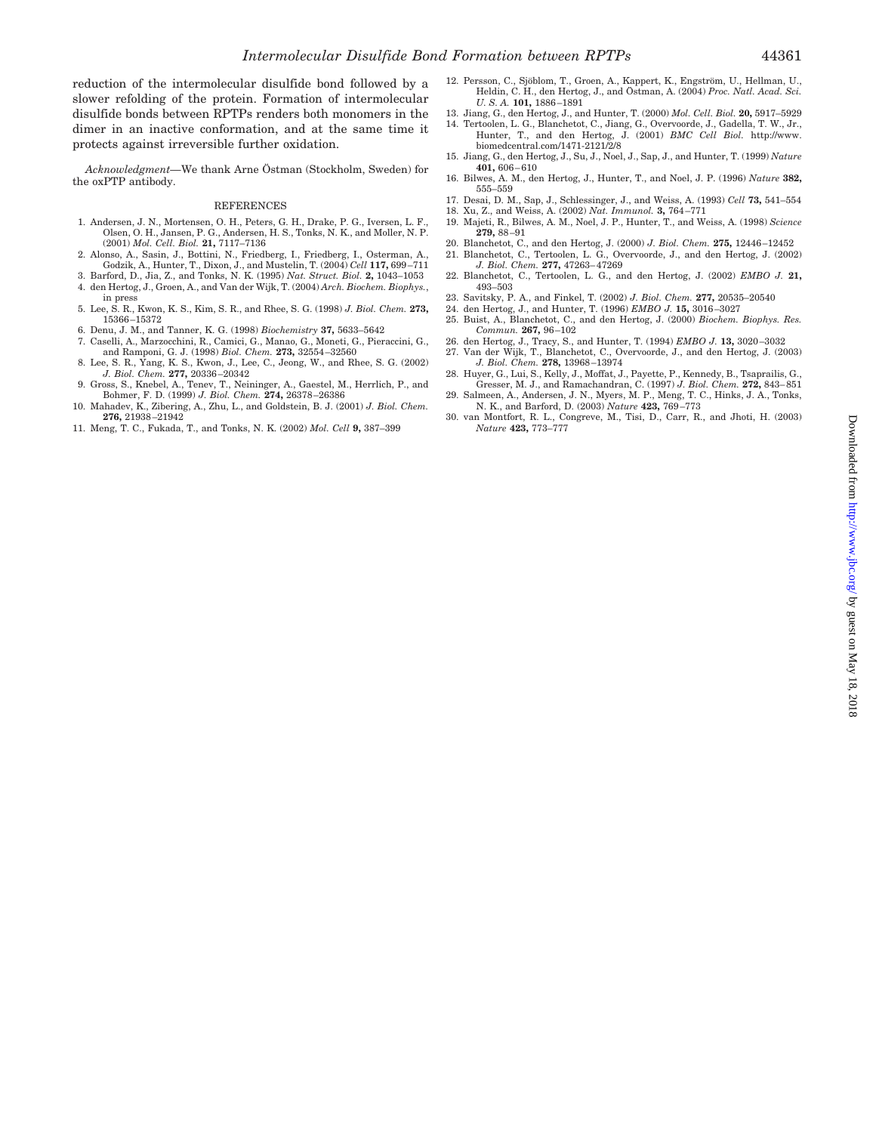reduction of the intermolecular disulfide bond followed by a slower refolding of the protein. Formation of intermolecular disulfide bonds between RPTPs renders both monomers in the dimer in an inactive conformation, and at the same time it protects against irreversible further oxidation.

*Acknowledgment*—We thank Arne Östman (Stockholm, Sweden) for the oxPTP antibody.

#### REFERENCES

- 1. Andersen, J. N., Mortensen, O. H., Peters, G. H., Drake, P. G., Iversen, L. F., Olsen, O. H., Jansen, P. G., Andersen, H. S., Tonks, N. K., and Moller, N. P. (2001) *Mol. Cell. Biol.* **21,** 7117–7136
- 2. Alonso, A., Sasin, J., Bottini, N., Friedberg, I., Friedberg, I., Osterman, A., Godzik, A., Hunter, T., Dixon, J., and Mustelin, T. (2004) *Cell* **117,** 699 –711
- 3. Barford, D., Jia, Z., and Tonks, N. K. (1995) *Nat. Struct. Biol.* **2,** 1043–1053 4. den Hertog, J., Groen, A., and Van der Wijk, T. (2004) *Arch. Biochem. Biophys.*,
- in press
- 5. Lee, S. R., Kwon, K. S., Kim, S. R., and Rhee, S. G. (1998) *J. Biol. Chem.* **273,** 15366 –15372
- 6. Denu, J. M., and Tanner, K. G. (1998) *Biochemistry* **37,** 5633–5642
- 7. Caselli, A., Marzocchini, R., Camici, G., Manao, G., Moneti, G., Pieraccini, G., and Ramponi, G. J. (1998) *Biol. Chem.* **273,** 32554 –32560
- 8. Lee, S. R., Yang, K. S., Kwon, J., Lee, C., Jeong, W., and Rhee, S. G. (2002) *J. Biol. Chem.* **277,** 20336 –20342
- 9. Gross, S., Knebel, A., Tenev, T., Neininger, A., Gaestel, M., Herrlich, P., and Bohmer, F. D. (1999) *J. Biol. Chem.* **274,** 26378 –26386
- 10. Mahadev, K., Zibering, A., Zhu, L., and Goldstein, B. J. (2001) *J. Biol. Chem.* **276,** 21938 –21942
- 11. Meng, T. C., Fukada, T., and Tonks, N. K. (2002) *Mol. Cell* **9,** 387–399
- 12. Persson, C., Sjöblom, T., Groen, A., Kappert, K., Engström, U., Hellman, U., Heldin, C. H., den Hertog, J., and O¨ stman, A. (2004) *Proc. Natl. Acad. Sci. U. S. A.* **101,** 1886 –1891
- 13. Jiang, G., den Hertog, J., and Hunter, T. (2000) *Mol. Cell. Biol.* **20,** 5917–5929
- 14. Tertoolen, L. G., Blanchetot, C., Jiang, G., Overvoorde, J., Gadella, T. W., Jr., Hunter, T., and den Hertog, J. (2001) *BMC Cell Biol.* http://www. biomedcentral.com/1471-2121/2/8
- 15. Jiang, G., den Hertog, J., Su, J., Noel, J., Sap, J., and Hunter, T. (1999) *Nature* **401,** 606 – 610
- 16. Bilwes, A. M., den Hertog, J., Hunter, T., and Noel, J. P. (1996) *Nature* **382,** 555–559
- 17. Desai, D. M., Sap, J., Schlessinger, J., and Weiss, A. (1993) *Cell* **73,** 541–554 18. Xu, Z., and Weiss, A. (2002) *Nat. Immunol.* **3,** 764 –771
- 19. Majeti, R., Bilwes, A. M., Noel, J. P., Hunter, T., and Weiss, A. (1998) *Science* **279,** 88 –91
- 
- 20. Blanchetot, C., and den Hertog, J. (2000) *J. Biol. Chem.* **275,** 12446 –12452 21. Blanchetot, C., Tertoolen, L. G., Overvoorde, J., and den Hertog, J. (2002) *J. Biol. Chem.* **277,** 47263– 47269
- 22. Blanchetot, C., Tertoolen, L. G., and den Hertog, J. (2002) *EMBO J.* **21,** 493–503
- 23. Savitsky, P. A., and Finkel, T. (2002) *J. Biol. Chem.* **277,** 20535–20540
- 24. den Hertog, J., and Hunter, T. (1996) *EMBO J.* **15,** 3016 –3027
- 25. Buist, A., Blanchetot, C., and den Hertog, J. (2000) *Biochem. Biophys. Res. Commun.* **267,** 96 –102
- 26. den Hertog, J., Tracy, S., and Hunter, T. (1994) *EMBO J.* **13,** 3020 –3032
- 27. Van der Wijk, T., Blanchetot, C., Overvoorde, J., and den Hertog, J. (2003) *J. Biol. Chem.* **278,** 13968 –13974 28. Huyer, G., Lui, S., Kelly, J., Moffat, J., Payette, P., Kennedy, B., Tsaprailis, G.,
- Gresser, M. J., and Ramachandran, C. (1997) *J. Biol. Chem.* **272,** 843– 851 29. Salmeen, A., Andersen, J. N., Myers, M. P., Meng, T. C., Hinks, J. A., Tonks, N. K., and Barford, D. (2003) *Nature* **423,** 769 –773
- 30. van Montfort, R. L., Congreve, M., Tisi, D., Carr, R., and Jhoti, H. (2003) *Nature* **423,** 773–777